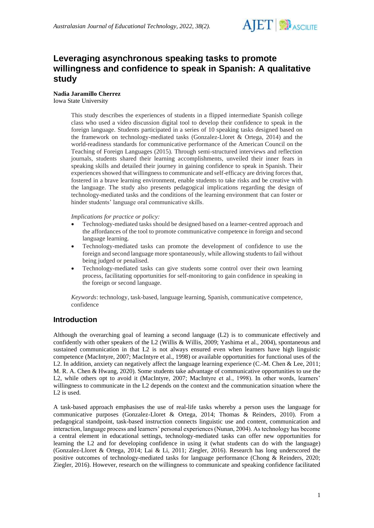

# **Leveraging asynchronous speaking tasks to promote willingness and confidence to speak in Spanish: A qualitative study**

# **Nadia Jaramillo Cherrez**

Iowa State University

This study describes the experiences of students in a flipped intermediate Spanish college class who used a video discussion digital tool to develop their confidence to speak in the foreign language. Students participated in a series of 10 speaking tasks designed based on the framework on technology-mediated tasks (Gonzalez-Lloret & Ortega, 2014) and the world-readiness standards for communicative performance of the American Council on the Teaching of Foreign Languages (2015). Through semi-structured interviews and reflection journals, students shared their learning accomplishments, unveiled their inner fears in speaking skills and detailed their journey in gaining confidence to speak in Spanish. Their experiences showed that willingness to communicate and self-efficacy are driving forces that, fostered in a brave learning environment, enable students to take risks and be creative with the language. The study also presents pedagogical implications regarding the design of technology-mediated tasks and the conditions of the learning environment that can foster or hinder students' language oral communicative skills.

*Implications for practice or policy:*

- Technology-mediated tasks should be designed based on a learner-centred approach and the affordances of the tool to promote communicative competence in foreign and second language learning.
- Technology-mediated tasks can promote the development of confidence to use the foreign and second language more spontaneously, while allowing students to fail without being judged or penalised.
- Technology-mediated tasks can give students some control over their own learning process, facilitating opportunities for self-monitoring to gain confidence in speaking in the foreign or second language.

*Keywords*: technology, task-based, language learning, Spanish, communicative competence, confidence

# **Introduction**

Although the overarching goal of learning a second language (L2) is to communicate effectively and confidently with other speakers of the L2 (Willis & Willis, 2009; Yashima et al., 2004), spontaneous and sustained communication in that L2 is not always ensured even when learners have high linguistic competence (MacIntyre, 2007; MacIntyre et al., 1998) or available opportunities for functional uses of the L2. In addition, anxiety can negatively affect the language learning experience (C.-M. Chen & Lee, 2011; M. R. A. Chen & Hwang, 2020). Some students take advantage of communicative opportunities to use the L2, while others opt to avoid it (MacIntyre, 2007; MacIntyre et al., 1998). In other words, learners' willingness to communicate in the L2 depends on the context and the communication situation where the L<sub>2</sub> is used.

A task-based approach emphasises the use of real-life tasks whereby a person uses the language for communicative purposes (Gonzalez-Lloret & Ortega, 2014; Thomas & Reinders, 2010). From a pedagogical standpoint, task-based instruction connects linguistic use and content, communication and interaction, language process and learners' personal experiences (Nunan, 2004). As technology has become a central element in educational settings, technology-mediated tasks can offer new opportunities for learning the L2 and for developing confidence in using it (what students can do with the language) (Gonzalez-Lloret & Ortega, 2014; Lai & Li, 2011; Ziegler, 2016). Research has long underscored the positive outcomes of technology-mediated tasks for language performance (Chong & Reinders, 2020; Ziegler, 2016). However, research on the willingness to communicate and speaking confidence facilitated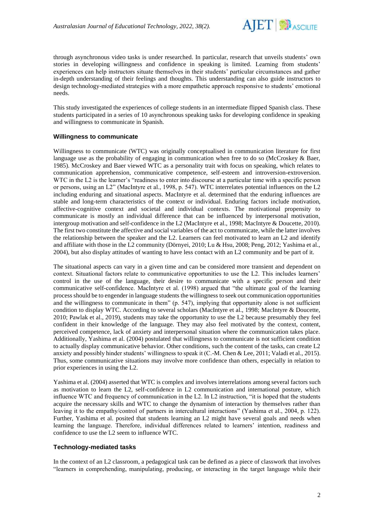

through asynchronous video tasks is under researched. In particular, research that unveils students' own stories in developing willingness and confidence in speaking is limited. Learning from students' experiences can help instructors situate themselves in their students' particular circumstances and gather in-depth understanding of their feelings and thoughts. This understanding can also guide instructors to design technology-mediated strategies with a more empathetic approach responsive to students' emotional needs.

This study investigated the experiences of college students in an intermediate flipped Spanish class. These students participated in a series of 10 asynchronous speaking tasks for developing confidence in speaking and willingness to communicate in Spanish.

#### **Willingness to communicate**

Willingness to communicate (WTC) was originally conceptualised in communication literature for first language use as the probability of engaging in communication when free to do so (McCroskey & Baer, 1985). McCroskey and Baer viewed WTC as a personality trait with focus on speaking, which relates to communication apprehension, communicative competence, self-esteem and introversion-extroversion. WTC in the L2 is the learner's "readiness to enter into discourse at a particular time with a specific person or persons, using an L2" (MacIntyre et al., 1998, p. 547). WTC interrelates potential influences on the L2 including enduring and situational aspects. MacIntyre et al. determined that the enduring influences are stable and long-term characteristics of the context or individual. Enduring factors include motivation, affective-cognitive context and societal and individual contexts. The motivational propensity to communicate is mostly an individual difference that can be influenced by interpersonal motivation, intergroup motivation and self-confidence in the L2 (MacIntyre et al., 1998; MacIntyre & Doucette, 2010). The first two constitute the affective and social variables of the act to communicate, while the latter involves the relationship between the speaker and the L2. Learners can feel motivated to learn an L2 and identify and affiliate with those in the L2 community (Dörnyei, 2010; Lu & Hsu, 2008; Peng, 2012; Yashima et al., 2004), but also display attitudes of wanting to have less contact with an L2 community and be part of it.

The situational aspects can vary in a given time and can be considered more transient and dependent on context. Situational factors relate to communicative opportunities to use the L2. This includes learners' control in the use of the language, their desire to communicate with a specific person and their communicative self-confidence. MacIntyre et al. (1998) argued that "the ultimate goal of the learning process should be to engender in language students the willingness to seek out communication opportunities and the willingness to communicate in them" (p. 547), implying that opportunity alone is not sufficient condition to display WTC. According to several scholars (MacIntyre et al., 1998; MacIntyre & Doucette, 2010; Pawlak et al., 2019), students may take the opportunity to use the L2 because presumably they feel confident in their knowledge of the language. They may also feel motivated by the context, content, perceived competence, lack of anxiety and interpersonal situation where the communication takes place. Additionally, Yashima et al. (2004) postulated that willingness to communicate is not sufficient condition to actually display communicative behavior. Other conditions, such the content of the tasks, can create L2 anxiety and possibly hinder students' willingness to speak it (C.-M. Chen & Lee, 2011; Valadi et al., 2015). Thus, some communicative situations may involve more confidence than others, especially in relation to prior experiences in using the L2.

Yashima et al. (2004) asserted that WTC is complex and involves interrelations among several factors such as motivation to learn the L2, self-confidence in L2 communication and international posture, which influence WTC and frequency of communication in the L2. In L2 instruction, "it is hoped that the students acquire the necessary skills and WTC to change the dynamism of interaction by themselves rather than leaving it to the empathy/control of partners in intercultural interactions" (Yashima et al., 2004, p. 122). Further, Yashima et al. posited that students learning an L2 might have several goals and needs when learning the language. Therefore, individual differences related to learners' intention, readiness and confidence to use the L2 seem to influence WTC.

#### **Technology-mediated tasks**

In the context of an L2 classroom, a pedagogical task can be defined as a piece of classwork that involves "learners in comprehending, manipulating, producing, or interacting in the target language while their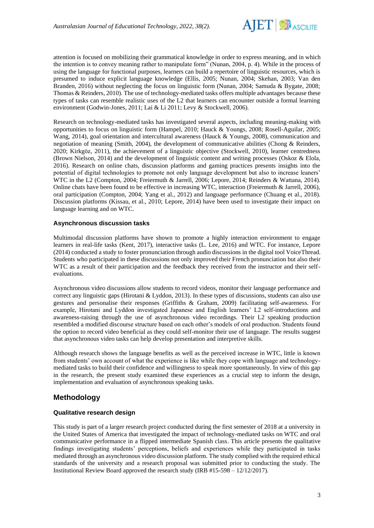

attention is focused on mobilizing their grammatical knowledge in order to express meaning, and in which the intention is to convey meaning rather to manipulate form" (Nunan, 2004, p. 4). While in the process of using the language for functional purposes, learners can build a repertoire of linguistic resources, which is presumed to induce explicit language knowledge (Ellis, 2005; Nunan, 2004; Skehan, 2003; Van den Branden, 2016) without neglecting the focus on linguistic form (Nunan, 2004; Samuda & Bygate, 2008; Thomas & Reinders, 2010). The use of technology-mediated tasks offers multiple advantages because these types of tasks can resemble realistic uses of the L2 that learners can encounter outside a formal learning environment (Godwin-Jones, 2011; Lai & Li 2011; Levy & Stockwell, 2006).

Research on technology-mediated tasks has investigated several aspects, including meaning-making with opportunities to focus on linguistic form (Hampel, 2010; Hauck & Youngs, 2008; Rosell-Aguilar, 2005; Wang, 2014), goal orientation and intercultural awareness (Hauck & Youngs, 2008), communication and negotiation of meaning (Smith, 2004), the development of communicative abilities (Chong & Reinders, 2020; Kirkgöz, 2011), the achievement of a linguistic objective (Stockwell, 2010), learner centredness (Brown Nielson, 2014) and the development of linguistic content and writing processes (Oskoz & Elola, 2016). Research on online chats, discussion platforms and gaming practices presents insights into the potential of digital technologies to promote not only language development but also to increase leaners' WTC in the L2 (Compton, 2004; Freiermuth & Jarrell, 2006; Lepore, 2014; Reinders & Wattana, 2014). Online chats have been found to be effective in increasing WTC, interaction (Freiermuth & Jarrell, 2006), oral participation (Compton, 2004; Yang et al., 2012) and language performance (Chuang et al., 2018). Discussion platforms (Kissau, et al., 2010; Lepore, 2014) have been used to investigate their impact on language learning and on WTC.

#### **Asynchronous discussion tasks**

Multimodal discussion platforms have shown to promote a highly interaction environment to engage learners in real-life tasks (Kent, 2017), interactive tasks (L. Lee, 2016) and WTC. For instance, Lepore (2014) conducted a study to foster pronunciation through audio discussions in the digital tool VoiceThread. Students who participated in these discussions not only improved their French pronunciation but also their WTC as a result of their participation and the feedback they received from the instructor and their selfevaluations.

Asynchronous video discussions allow students to record videos, monitor their language performance and correct any linguistic gaps (Hirotani & Lyddon, 2013). In these types of discussions, students can also use gestures and personalise their responses (Griffiths & Graham, 2009) facilitating self-awareness. For example, Hirotani and Lyddon investigated Japanese and English learners' L2 self-introductions and awareness-raising through the use of asynchronous video recordings. Their L2 speaking production resembled a modified discourse structure based on each other's models of oral production. Students found the option to record video beneficial as they could self-monitor their use of language. The results suggest that asynchronous video tasks can help develop presentation and interpretive skills.

Although research shows the language benefits as well as the perceived increase in WTC, little is known from students' own account of what the experience is like while they cope with language and technologymediated tasks to build their confidence and willingness to speak more spontaneously. In view of this gap in the research, the present study examined these experiences as a crucial step to inform the design, implementation and evaluation of asynchronous speaking tasks.

### **Methodology**

#### **Qualitative research design**

This study is part of a larger research project conducted during the first semester of 2018 at a university in the United States of America that investigated the impact of technology-mediated tasks on WTC and oral communicative performance in a flipped intermediate Spanish class. This article presents the qualitative findings investigating students' perceptions, beliefs and experiences while they participated in tasks mediated through an asynchronous video discussion platform. The study complied with the required ethical standards of the university and a research proposal was submitted prior to conducting the study. The Institutional Review Board approved the research study (IRB #15-598 – 12/12/2017).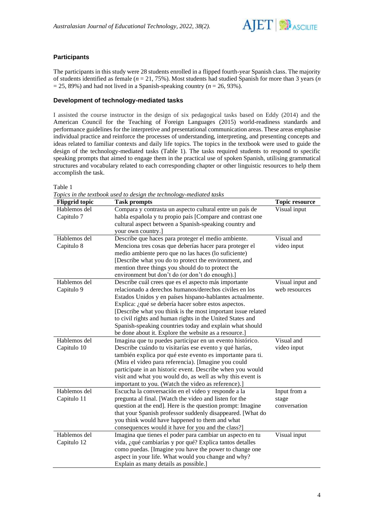

## **Participants**

The participants in this study were 28 students enrolled in a flipped fourth-year Spanish class. The majority of students identified as female (*n* = 21, 75%). Most students had studied Spanish for more than 3 years (*n*  $= 25, 89\%$ ) and had not lived in a Spanish-speaking country ( $n = 26, 93\%$ ).

#### **Development of technology-mediated tasks**

I assisted the course instructor in the design of six pedagogical tasks based on Eddy (2014) and the American Council for the Teaching of Foreign Languages (2015) world-readiness standards and performance guidelines for the interpretive and presentational communication areas. These areas emphasise individual practice and reinforce the processes of understanding, interpreting, and presenting concepts and ideas related to familiar contexts and daily life topics. The topics in the textbook were used to guide the design of the technology-mediated tasks (Table 1). The tasks required students to respond to specific speaking prompts that aimed to engage them in the practical use of spoken Spanish, utilising grammatical structures and vocabulary related to each corresponding chapter or other linguistic resources to help them accomplish the task.

Table 1

| <b>Flipgrid</b> topic | <b>Task prompts</b>                                          | <b>Topic resource</b> |
|-----------------------|--------------------------------------------------------------|-----------------------|
| Hablemos del          | Compara y contrasta un aspecto cultural entre un país de     | Visual input          |
| Capitulo 7            | habla española y tu propio país [Compare and contrast one    |                       |
|                       | cultural aspect between a Spanish-speaking country and       |                       |
|                       | your own country.]                                           |                       |
| Hablemos del          | Describe que haces para proteger el medio ambiente.          | Visual and            |
| Capitulo 8            | Menciona tres cosas que deberías hacer para proteger el      | video input           |
|                       | medio ambiente pero que no las haces (lo suficiente)         |                       |
|                       | [Describe what you do to protect the environment, and        |                       |
|                       | mention three things you should do to protect the            |                       |
|                       | environment but don't do (or don't do enough).]              |                       |
| Hablemos del          | Describe cuál crees que es el aspecto más importante         | Visual input and      |
| Capitulo 9            | relacionado a derechos humanos/derechos civiles en los       | web resources         |
|                       | Estados Unidos y en países hispano-hablantes actualmente.    |                       |
|                       | Explica: ¿qué se debería hacer sobre estos aspectos.         |                       |
|                       | [Describe what you think is the most important issue related |                       |
|                       | to civil rights and human rights in the United States and    |                       |
|                       | Spanish-speaking countries today and explain what should     |                       |
|                       | be done about it. Explore the website as a resource.]        |                       |
| Hablemos del          | Imagina que tu puedes participar en un evento histórico.     | Visual and            |
| Capitulo 10           | Describe cuándo tu visitarías ese evento y qué harías,       | video input           |
|                       | también explica por qué este evento es importante para ti.   |                       |
|                       | (Mira el video para referencia). [Imagine you could          |                       |
|                       | participate in an historic event. Describe when you would    |                       |
|                       | visit and what you would do, as well as why this event is    |                       |
|                       | important to you. (Watch the video as reference).]           |                       |
| Hablemos del          | Escucha la conversación en el video y responde a la          | Input from a          |
| Capitulo 11           | pregunta al final. [Watch the video and listen for the       | stage                 |
|                       | question at the end]. Here is the question prompt: Imagine   | conversation          |
|                       | that your Spanish professor suddenly disappeared. [What do   |                       |
|                       | you think would have happened to them and what               |                       |
|                       | consequences would it have for you and the class?]           |                       |
| Hablemos del          | Imagina que tienes el poder para cambiar un aspecto en tu    | Visual input          |
| Capitulo 12           | vida, ¿qué cambiarías y por qué? Explica tantos detalles     |                       |
|                       | como puedas. [Imagine you have the power to change one       |                       |
|                       | aspect in your life. What would you change and why?          |                       |
|                       | Explain as many details as possible.]                        |                       |

*Topics in the textbook used to design the technology-mediated tasks*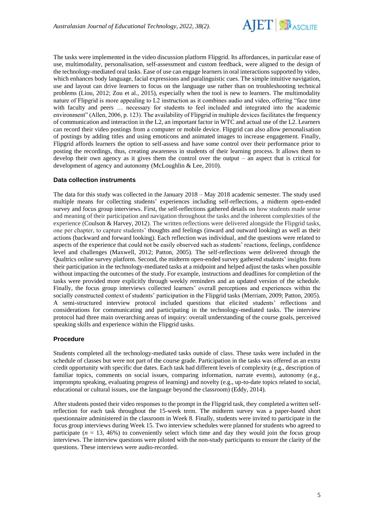

The tasks were implemented in the video discussion platform Flipgrid. Its affordances, in particular ease of use, multimodality, personalisation, self-assessment and custom feedback, were aligned to the design of the technology-mediated oral tasks. Ease of use can engage learners in oral interactions supported by video, which enhances body language, facial expressions and paralinguistic cues. The simple intuitive navigation, use and layout can drive learners to focus on the language use rather than on troubleshooting technical problems (Liou, 2012; Zou et al., 2015), especially when the tool is new to learners. The multimodality nature of Flipgrid is more appealing to L2 instruction as it combines audio and video, offering "face time with faculty and peers … necessary for students to feel included and integrated into the academic environment" (Allen, 2006, p. 123). The availability of Flipgrid in multiple devices facilitates the frequency of communication and interaction in the L2, an important factor in WTC and actual use of the L2. Learners can record their video postings from a computer or mobile device. Flipgrid can also allow personalisation of postings by adding titles and using emoticons and animated images to increase engagement. Finally, Flipgrid affords learners the option to self-assess and have some control over their performance prior to posting the recordings, thus, creating awareness in students of their learning process. It allows them to develop their own agency as it gives them the control over the output – an aspect that is critical for development of agency and autonomy (McLoughlin & Lee, 2010).

#### **Data collection instruments**

The data for this study was collected in the January 2018 – May 2018 academic semester. The study used multiple means for collecting students' experiences including self-reflections, a midterm open-ended survey and focus group interviews. First, the self-reflections gathered details on how students made sense and meaning of their participation and navigation throughout the tasks and the inherent complexities of the experience (Coulson & Harvey, 2012). The written reflections were delivered alongside the Flipgrid tasks, one per chapter, to capture students' thoughts and feelings (inward and outward looking) as well as their actions (backward and forward looking). Each reflection was individual, and the questions were related to aspects of the experience that could not be easily observed such as students' reactions, feelings, confidence level and challenges (Maxwell, 2012; Patton, 2005). The self-reflections were delivered through the Qualtrics online survey platform. Second, the midterm open-ended survey gathered students' insights from their participation in the technology-mediated tasks at a midpoint and helped adjust the tasks when possible without impacting the outcomes of the study. For example, instructions and deadlines for completion of the tasks were provided more explicitly through weekly reminders and an updated version of the schedule. Finally, the focus group interviews collected learners' overall perceptions and experiences within the socially constructed context of students' participation in the Flipgrid tasks (Merriam, 2009; Patton, 2005). A semi-structured interview protocol included questions that elicited students' reflections and considerations for communicating and participating in the technology-mediated tasks. The interview protocol had three main overarching areas of inquiry: overall understanding of the course goals, perceived speaking skills and experience within the Flipgrid tasks.

#### **Procedure**

Students completed all the technology-mediated tasks outside of class. These tasks were included in the schedule of classes but were not part of the course grade. Participation in the tasks was offered as an extra credit opportunity with specific due dates. Each task had different levels of complexity (e.g., description of familiar topics, comments on social issues, comparing information, narrate events), autonomy (e.g., impromptu speaking, evaluating progress of learning) and novelty (e.g., up-to-date topics related to social, educational or cultural issues, use the language beyond the classroom) (Eddy, 2014).

After students posted their video responses to the prompt in the Flipgrid task, they completed a written selfreflection for each task throughout the 15-week term. The midterm survey was a paper-based short questionnaire administered in the classroom in Week 8. Finally, students were invited to participate in the focus group interviews during Week 15. Two interview schedules were planned for students who agreed to participate  $(n = 13, 46%)$  to conveniently select which time and day they would join the focus group interviews. The interview questions were piloted with the non-study participants to ensure the clarity of the questions. These interviews were audio-recorded.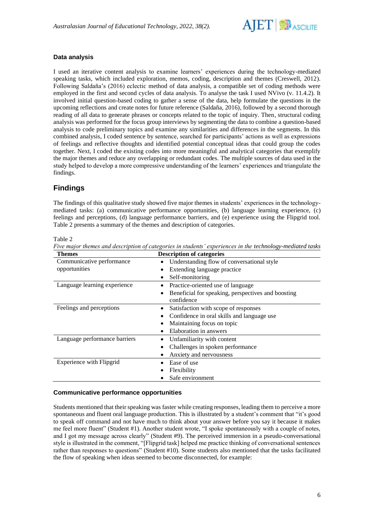

### **Data analysis**

I used an iterative content analysis to examine learners' experiences during the technology-mediated speaking tasks, which included exploration, memos, coding, description and themes (Creswell, 2012). Following Saldaña's (2016) eclectic method of data analysis, a compatible set of coding methods were employed in the first and second cycles of data analysis. To analyse the task I used NVivo (v. 11.4.2). It involved initial question-based coding to gather a sense of the data, help formulate the questions in the upcoming reflections and create notes for future reference (Saldaña, 2016), followed by a second thorough reading of all data to generate phrases or concepts related to the topic of inquiry. Then, structural coding analysis was performed for the focus group interviews by segmenting the data to combine a question-based analysis to code preliminary topics and examine any similarities and differences in the segments. In this combined analysis, I coded sentence by sentence, searched for participants' actions as well as expressions of feelings and reflective thoughts and identified potential conceptual ideas that could group the codes together. Next, I coded the existing codes into more meaningful and analytical categories that exemplify the major themes and reduce any overlapping or redundant codes. The multiple sources of data used in the study helped to develop a more compressive understanding of the learners' experiences and triangulate the findings.

# **Findings**

The findings of this qualitative study showed five major themes in students' experiences in the technologymediated tasks: (a) communicative performance opportunities, (b) language learning experience, (c) feelings and perceptions, (d) language performance barriers, and (e) experience using the Flipgrid tool. Table 2 presents a summary of the themes and description of categories.

|                                 | Five major themes and description of categories in students' experiences in the technology-mediated tasks |
|---------------------------------|-----------------------------------------------------------------------------------------------------------|
| Themes                          | <b>Description of categories</b>                                                                          |
| Communicative performance       | Understanding flow of conversational style                                                                |
| opportunities                   | Extending language practice                                                                               |
|                                 | Self-monitoring                                                                                           |
| Language learning experience    | Practice-oriented use of language                                                                         |
|                                 | Beneficial for speaking, perspectives and boosting                                                        |
|                                 | confidence                                                                                                |
| Feelings and perceptions        | Satisfaction with scope of responses                                                                      |
|                                 | Confidence in oral skills and language use                                                                |
|                                 | Maintaining focus on topic                                                                                |
|                                 | Elaboration in answers                                                                                    |
| Language performance barriers   | Unfamiliarity with content                                                                                |
|                                 | Challenges in spoken performance                                                                          |
|                                 | Anxiety and nervousness                                                                                   |
| <b>Experience with Flipgrid</b> | Ease of use                                                                                               |
|                                 | Flexibility                                                                                               |
|                                 | Safe environment                                                                                          |

Table 2

#### **Communicative performance opportunities**

Students mentioned that their speaking was faster while creating responses, leading them to perceive a more spontaneous and fluent oral language production. This is illustrated by a student's comment that "it's good to speak off command and not have much to think about your answer before you say it because it makes me feel more fluent" (Student #1). Another student wrote, "I spoke spontaneously with a couple of notes, and I got my message across clearly" (Student #9). The perceived immersion in a pseudo-conversational style is illustrated in the comment, "[Flipgrid task] helped me practice thinking of conversational sentences rather than responses to questions" (Student #10). Some students also mentioned that the tasks facilitated the flow of speaking when ideas seemed to become disconnected, for example: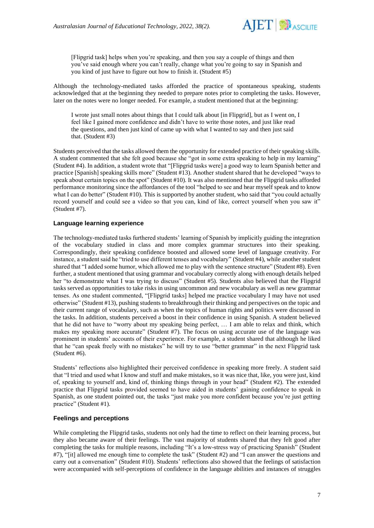

[Flipgrid task] helps when you're speaking, and then you say a couple of things and then you've said enough where you can't really, change what you're going to say in Spanish and you kind of just have to figure out how to finish it. (Student #5)

Although the technology-mediated tasks afforded the practice of spontaneous speaking, students acknowledged that at the beginning they needed to prepare notes prior to completing the tasks. However, later on the notes were no longer needed. For example, a student mentioned that at the beginning:

I wrote just small notes about things that I could talk about [in Flipgrid], but as I went on, I feel like I gained more confidence and didn't have to write those notes, and just like read the questions, and then just kind of came up with what I wanted to say and then just said that. (Student #3)

Students perceived that the tasks allowed them the opportunity for extended practice of their speaking skills. A student commented that she felt good because she "got in some extra speaking to help in my learning" (Student #4). In addition, a student wrote that "[Flipgrid tasks were] a good way to learn Spanish better and practice [Spanish] speaking skills more" (Student #13). Another student shared that he developed "ways to speak about certain topics on the spot" (Student #10). It was also mentioned that the Flipgrid tasks afforded performance monitoring since the affordances of the tool "helped to see and hear myself speak and to know what I can do better" (Student #10). This is supported by another student, who said that "you could actually record yourself and could see a video so that you can, kind of like, correct yourself when you saw it" (Student #7).

#### **Language learning experience**

The technology-mediated tasks furthered students' learning of Spanish by implicitly guiding the integration of the vocabulary studied in class and more complex grammar structures into their speaking. Correspondingly, their speaking confidence boosted and allowed some level of language creativity. For instance, a student said he "tried to use different tenses and vocabulary" (Student #4), while another student shared that "I added some humor, which allowed me to play with the sentence structure" (Student #8). Even further, a student mentioned that using grammar and vocabulary correctly along with enough details helped her "to demonstrate what I was trying to discuss" (Student #5). Students also believed that the Flipgrid tasks served as opportunities to take risks in using uncommon and new vocabulary as well as new grammar tenses. As one student commented, "[Flipgrid tasks] helped me practice vocabulary I may have not used otherwise" (Student #13), pushing students to breakthrough their thinking and perspectives on the topic and their current range of vocabulary, such as when the topics of human rights and politics were discussed in the tasks. In addition, students perceived a boost in their confidence in using Spanish. A student believed that he did not have to "worry about my speaking being perfect, … I am able to relax and think, which makes my speaking more accurate" (Student #7). The focus on using accurate use of the language was prominent in students' accounts of their experience. For example, a student shared that although he liked that he "can speak freely with no mistakes" he will try to use "better grammar" in the next Flipgrid task (Student #6).

Students' reflections also highlighted their perceived confidence in speaking more freely. A student said that "I tried and used what I know and stuff and make mistakes, so it was nice that, like, you were just, kind of, speaking to yourself and, kind of, thinking things through in your head" (Student #2). The extended practice that Flipgrid tasks provided seemed to have aided in students' gaining confidence to speak in Spanish, as one student pointed out, the tasks "just make you more confident because you're just getting practice" (Student #1).

#### **Feelings and perceptions**

While completing the Flipgrid tasks, students not only had the time to reflect on their learning process, but they also became aware of their feelings. The vast majority of students shared that they felt good after completing the tasks for multiple reasons, including "It's a low-stress way of practicing Spanish" (Student #7), "[it] allowed me enough time to complete the task" (Student #2) and "I can answer the questions and carry out a conversation" (Student #10). Students' reflections also showed that the feelings of satisfaction were accompanied with self-perceptions of confidence in the language abilities and instances of struggles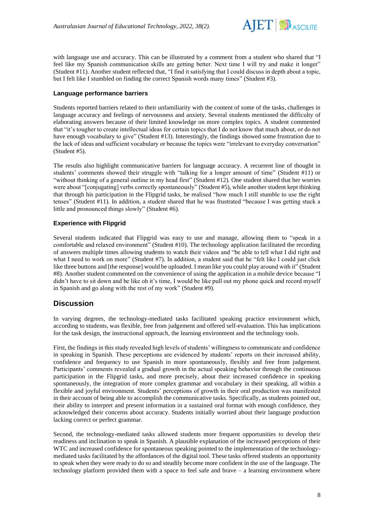

with language use and accuracy. This can be illustrated by a comment from a student who shared that "I feel like my Spanish communication skills are getting better. Next time I will try and make it longer" (Student #11). Another student reflected that, "I find it satisfying that I could discuss in depth about a topic, but I felt like I stumbled on finding the correct Spanish words many times" (Student #3).

#### **Language performance barriers**

Students reported barriers related to their unfamiliarity with the content of some of the tasks, challenges in language accuracy and feelings of nervousness and anxiety. Several students mentioned the difficulty of elaborating answers because of their limited knowledge on more complex topics. A student commented that "it's tougher to create intellectual ideas for certain topics that I do not know that much about, or do not have enough vocabulary to give" (Student #13). Interestingly, the findings showed some frustration due to the lack of ideas and sufficient vocabulary or because the topics were "irrelevant to everyday conversation" (Student #5).

The results also highlight communicative barriers for language accuracy. A recurrent line of thought in students' comments showed their struggle with "talking for a longer amount of time" (Student #11) or "without thinking of a general outline in my head first" (Student #12). One student shared that her worries were about "[conjugating] verbs correctly spontaneously" (Student #5), while another student kept thinking that through his participation in the Flipgrid tasks, he realised "how much I still stumble to use the right tenses" (Student #11). In addition, a student shared that he was frustrated "because I was getting stuck a little and pronounced things slowly" (Student #6).

### **Experience with Flipgrid**

Several students indicated that Flipgrid was easy to use and manage, allowing them to "speak in a comfortable and relaxed environment" (Student #10). The technology application facilitated the recording of answers multiple times allowing students to watch their videos and "be able to tell what I did right and what I need to work on more" (Student #7). In addition, a student said that he "felt like I could just click like three buttons and [the response] would be uploaded. I mean like you could play around with it" (Student #8). Another student commented on the convenience of using the application in a mobile device because "I didn't have to sit down and be like oh it's time, I would be like pull out my phone quick and record myself in Spanish and go along with the rest of my work" (Student #9).

# **Discussion**

In varying degrees, the technology-mediated tasks facilitated speaking practice environment which, according to students, was flexible, free from judgement and offered self-evaluation. This has implications for the task design, the instructional approach, the learning environment and the technology tools.

First, the findings in this study revealed high levels of students' willingness to communicate and confidence in speaking in Spanish. These perceptions are evidenced by students' reports on their increased ability, confidence and frequency to use Spanish in more spontaneously, flexibly and free from judgement. Participants' comments revealed a gradual growth in the actual speaking behavior through the continuous participation in the Flipgrid tasks, and more precisely, about their increased confidence in speaking spontaneously, the integration of more complex grammar and vocabulary in their speaking, all within a flexible and joyful environment. Students' perceptions of growth in their oral production was manifested in their account of being able to accomplish the communicative tasks. Specifically, as students pointed out, their ability to interpret and present information in a sustained oral format with enough confidence, they acknowledged their concerns about accuracy. Students initially worried about their language production lacking correct or perfect grammar.

Second, the technology-mediated tasks allowed students more frequent opportunities to develop their readiness and inclination to speak in Spanish. A plausible explanation of the increased perceptions of their WTC and increased confidence for spontaneous speaking pointed to the implementation of the technologymediated tasks facilitated by the affordances of the digital tool. These tasks offered students an opportunity to speak when they were ready to do so and steadily become more confident in the use of the language. The technology platform provided them with a space to feel safe and brave – a learning environment where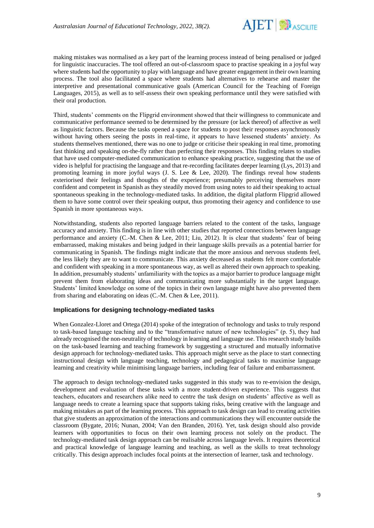

making mistakes was normalised as a key part of the learning process instead of being penalised or judged for linguistic inaccuracies. The tool offered an out-of-classroom space to practise speaking in a joyful way where students had the opportunity to play with language and have greater engagement in their own learning process. The tool also facilitated a space where students had alternatives to rehearse and master the interpretive and presentational communicative goals (American Council for the Teaching of Foreign Languages, 2015), as well as to self-assess their own speaking performance until they were satisfied with their oral production.

Third, students' comments on the Flipgrid environment showed that their willingness to communicate and communicative performance seemed to be determined by the pressure (or lack thereof) of affective as well as linguistic factors. Because the tasks opened a space for students to post their responses asynchronously without having others seeing the posts in real-time, it appears to have lessened students' anxiety. As students themselves mentioned, there was no one to judge or criticise their speaking in real time, promoting fast thinking and speaking on-the-fly rather than perfecting their responses. This finding relates to studies that have used computer-mediated communication to enhance speaking practice, suggesting that the use of video is helpful for practising the language and that re-recording facilitates deeper learning (Lys, 2013) and promoting learning in more joyful ways (J. S. Lee & Lee, 2020). The findings reveal how students exteriorised their feelings and thoughts of the experience; presumably perceiving themselves more confident and competent in Spanish as they steadily moved from using notes to aid their speaking to actual spontaneous speaking in the technology-mediated tasks. In addition, the digital platform Flipgrid allowed them to have some control over their speaking output, thus promoting their agency and confidence to use Spanish in more spontaneous ways.

Notwithstanding, students also reported language barriers related to the content of the tasks, language accuracy and anxiety. This finding is in line with other studies that reported connections between language performance and anxiety (C.-M. Chen & Lee, 2011; Liu, 2012). It is clear that students' fear of being embarrassed, making mistakes and being judged in their language skills prevails as a potential barrier for communicating in Spanish. The findings might indicate that the more anxious and nervous students feel, the less likely they are to want to communicate. This anxiety decreased as students felt more comfortable and confident with speaking in a more spontaneous way, as well as altered their own approach to speaking. In addition, presumably students' unfamiliarity with the topics as a major barrier to produce language might prevent them from elaborating ideas and communicating more substantially in the target language. Students' limited knowledge on some of the topics in their own language might have also prevented them from sharing and elaborating on ideas (C.-M. Chen & Lee, 2011).

#### **Implications for designing technology-mediated tasks**

When Gonzalez-Lloret and Ortega (2014) spoke of the integration of technology and tasks to truly respond to task-based language teaching and to the "transformative nature of new technologies" (p. 5), they had already recognised the non-neutrality of technology in learning and language use. This research study builds on the task-based learning and teaching framework by suggesting a structured and mutually informative design approach for technology-mediated tasks. This approach might serve as the place to start connecting instructional design with language teaching, technology and pedagogical tasks to maximise language learning and creativity while minimising language barriers, including fear of failure and embarrassment.

The approach to design technology-mediated tasks suggested in this study was to re-envision the design, development and evaluation of these tasks with a more student-driven experience. This suggests that teachers, educators and researchers alike need to centre the task design on students' affective as well as language needs to create a learning space that supports taking risks, being creative with the language and making mistakes as part of the learning process. This approach to task design can lead to creating activities that give students an approximation of the interactions and communications they will encounter outside the classroom (Bygate, 2016; Nunan, 2004; Van den Branden, 2016). Yet, task design should also provide learners with opportunities to focus on their own learning process not solely on the product. The technology-mediated task design approach can be realisable across language levels. It requires theoretical and practical knowledge of language learning and teaching, as well as the skills to treat technology critically. This design approach includes focal points at the intersection of learner, task and technology.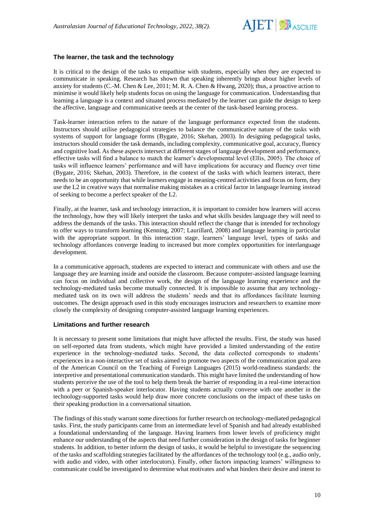

#### **The learner, the task and the technology**

It is critical to the design of the tasks to empathise with students, especially when they are expected to communicate in speaking. Research has shown that speaking inherently brings about higher levels of anxiety for students (C.-M. Chen & Lee, 2011; M. R. A. Chen & Hwang, 2020); thus, a proactive action to minimise it would likely help students focus on using the language for communication. Understanding that learning a language is a context and situated process mediated by the learner can guide the design to keep the affective, language and communicative needs at the center of the task-based learning process.

Task-learner interaction refers to the nature of the language performance expected from the students. Instructors should utilise pedagogical strategies to balance the communicative nature of the tasks with systems of support for language forms (Bygate, 2016; Skehan, 2003). In designing pedagogical tasks, instructors should consider the task demands, including complexity, communicative goal, accuracy, fluency and cognitive load. As these aspects intersect at different stages of language development and performance, effective tasks will find a balance to match the learner's developmental level (Ellis, 2005). The choice of tasks will influence learners' performance and will have implications for accuracy and fluency over time (Bygate, 2016; Skehan, 2003). Therefore, in the context of the tasks with which learners interact, there needs to be an opportunity that while learners engage in meaning-centred activities and focus on form, they use the L2 in creative ways that normalise making mistakes as a critical factor in language learning instead of seeking to become a perfect speaker of the L2.

Finally, at the learner, task and technology interaction, it is important to consider how learners will access the technology, how they will likely interpret the tasks and what skills besides language they will need to address the demands of the tasks. This interaction should reflect the change that is intended for technology to offer ways to transform learning (Kenning, 2007; Laurillard, 2008) and language learning in particular with the appropriate support. In this interaction stage, learners' language level, types of tasks and technology affordances converge leading to increased but more complex opportunities for interlanguage development.

In a communicative approach, students are expected to interact and communicate with others and use the language they are learning inside and outside the classroom. Because computer-assisted language learning can focus on individual and collective work, the design of the language learning experience and the technology-mediated tasks become mutually connected. It is impossible to assume that any technologymediated task on its own will address the students' needs and that its affordances facilitate learning outcomes. The design approach used in this study encourages instructors and researchers to examine more closely the complexity of designing computer-assisted language learning experiences.

#### **Limitations and further research**

It is necessary to present some limitations that might have affected the results. First, the study was based on self-reported data from students, which might have provided a limited understanding of the entire experience in the technology-mediated tasks. Second, the data collected corresponds to students' experiences in a non-interactive set of tasks aimed to promote two aspects of the communication goal area of the American Council on the Teaching of Foreign Languages (2015) world-readiness standards: the interpretive and presentational communication standards. This might have limited the understanding of how students perceive the use of the tool to help them break the barrier of responding in a real-time interaction with a peer or Spanish-speaker interlocutor. Having students actually converse with one another in the technology-supported tasks would help draw more concrete conclusions on the impact of these tasks on their speaking production in a conversational situation.

The findings of this study warrant some directions for further research on technology-mediated pedagogical tasks. First, the study participants came from an intermediate level of Spanish and had already established a foundational understanding of the language. Having learners from lower levels of proficiency might enhance our understanding of the aspects that need further consideration in the design of tasks for beginner students. In addition, to better inform the design of tasks, it would be helpful to investigate the sequencing of the tasks and scaffolding strategies facilitated by the affordances of the technology tool (e.g., audio only, with audio and video, with other interlocutors). Finally, other factors impacting learners' willingness to communicate could be investigated to determine what motivates and what hinders their desire and intent to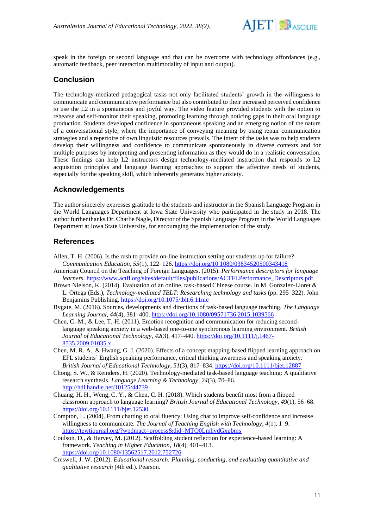

speak in the foreign or second language and that can be overcome with technology affordances (e.g., automatic feedback, peer interaction multimodality of input and output).

## **Conclusion**

The technology-mediated pedagogical tasks not only facilitated students' growth in the willingness to communicate and communicative performance but also contributed to their increased perceived confidence to use the L2 in a spontaneous and joyful way. The video feature provided students with the option to rehearse and self-monitor their speaking, promoting learning through noticing gaps in their oral language production. Students developed confidence in spontaneous speaking and an emerging notion of the nature of a conversational style, where the importance of conveying meaning by using repair communication strategies and a repertoire of own linguistic resources prevails. The intent of the tasks was to help students develop their willingness and confidence to communicate spontaneously in diverse contexts and for multiple purposes by interpreting and presenting information as they would do in a realistic conversation. These findings can help L2 instructors design technology-mediated instruction that responds to L2 acquisition principles and language learning approaches to support the affective needs of students, especially for the speaking skill, which inherently generates higher anxiety.

# **Acknowledgements**

The author sincerely expresses gratitude to the students and instructor in the Spanish Language Program in the World Languages Department at Iowa State University who participated in the study in 2018. The author further thanks Dr. Charlie Nagle, Director of the Spanish Language Program in the World Languages Department at Iowa State University, for encouraging the implementation of the study.

# **References**

- Allen, T. H. (2006). Is the rush to provide on-line instruction setting our students up for failure? *Communication Education*, *55*(1), 122–126.<https://doi.org/10.1080/03634520500343418>
- American Council on the Teaching of Foreign Languages. (2015). *Performance descriptors for language learners.* [https://www.actfl.org/sites/default/files/publications/ACTFLPerformance\\_Descriptors.pdf](https://www.actfl.org/sites/default/files/publications/ACTFLPerformance_Descriptors.pdf)
- Brown Nielson, K. (2014). Evaluation of an online, task-based Chinese course. In M. Gonzalez-Lloret & L. Ortega (Eds.), *Technology-mediated TBLT: Researching technology and tasks* (pp. 295–322). John Benjamins Publishing. <https://doi.org/10.1075/tblt.6.11nie>
- Bygate, M. (2016). Sources, developments and directions of task-based language teaching. *The Language Learning Journal*, *44*(4), 381–400.<https://doi.org/10.1080/09571736.2015.1039566>
- Chen, C.-M., & Lee, T.-H. (2011). Emotion recognition and communication for reducing secondlanguage speaking anxiety in a web-based one-to-one synchronous learning environment. *British Journal of Educational Technology*, *42*(3), 417–440. [https://doi.org/10.1111/j.1467-](https://doi.org/10.1111/j.1467-8535.2009.01035.x) [8535.2009.01035.x](https://doi.org/10.1111/j.1467-8535.2009.01035.x)
- Chen, M. R. A., & Hwang, G. J. (2020). Effects of a concept mapping-based flipped learning approach on EFL students' English speaking performance, critical thinking awareness and speaking anxiety. *British Journal of Educational Technology*, *51*(3), 817–834. <https://doi.org/10.1111/bjet.12887>
- Chong, S. W., & Reinders, H. (2020). Technology-mediated task-based language teaching: A qualitative research synthesis. *Language Learning & Technology*, *24*(3), 70–86. <http://hdl.handle.net/10125/44739>
- Chuang, H. H., Weng, C. Y., & Chen, C. H. (2018). Which students benefit most from a flipped classroom approach to language learning? *British Journal of Educational Technology*, *49*(1), 56–68. <https://doi.org/10.1111/bjet.12530>
- Compton, L. (2004). From chatting to oral fluency: Using chat to improve self-confidence and increase willingness to communicate. *The Journal of Teaching English with Technology*, *4*(1), 1–9. <https://tewtjournal.org/?wpdmact=process&did=MTQ0LmhvdGxpbms>
- Coulson, D., & Harvey, M. (2012). Scaffolding student reflection for experience-based learning: A framework. *Teaching in Higher Education*, *18*(4), 401–413. <https://doi.org/10.1080/13562517.2012.752726>
- Creswell, J. W. (2012). *Educational research: Planning, conducting, and evaluating quantitative and qualitative research* (4th ed.). Pearson.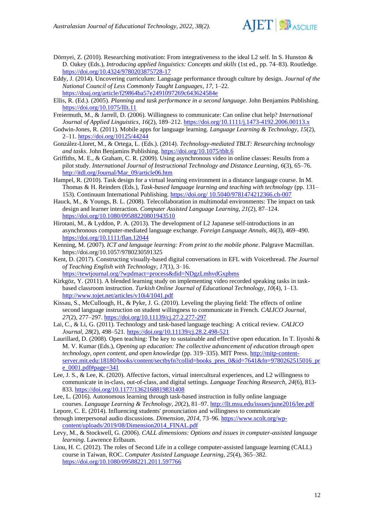

- Dörnyei, Z. (2010). Researching motivation: From integrativeness to the ideal L2 self. In S. Hunston & D. Oakey (Eds.), *Introducing applied linguistics: Concepts and skills* (1st ed., pp. 74–83). Routledge. <https://doi.org/10.4324/9780203875728-17>
- Eddy, J. (2014). Uncovering curriculum: Language performance through culture by design. *Journal of the National Council of Less Commonly Taught Languages*, *17*, 1–22. <https://doaj.org/article/f29864ba57e2491097269c643624584e>
- Ellis, R. (Ed.). (2005). *Planning and task performance in a second language*. John Benjamins Publishing. <https://doi.org/10.1075/lllt.11>
- Freiermuth, M., & Jarrell, D. (2006). Willingness to communicate: Can online chat help? *International Journal of Applied Linguistics*, *16*(2), 189–212.<https://doi.org/10.1111/j.1473-4192.2006.00113.x>
- Godwin-Jones, R. (2011). Mobile apps for language learning. *Language Learning & Technology*, *15*(2), 2–11.<https://doi.org/10125/44244>
- González-Lloret, M., & Ortega, L. (Eds.). (2014). *Technology-mediated TBLT: Researching technology and tasks*. John Benjamins Publishing.<https://doi.org/10.1075/tblt.6>
- Griffiths, M. E., & Graham, C. R. (2009). Using asynchronous video in online classes: Results from a pilot study. *International Journal of Instructional Technology and Distance Learning*, *6*(3), 65–76. [http://itdl.org/Journal/Mar\\_09/article06.htm](http://itdl.org/Journal/Mar_09/article06.htm)
- Hampel, R. (2010). Task design for a virtual learning environment in a distance language course. In M. Thomas & H. Reinders (Eds.), *Task-based language learning and teaching with technology* (pp. 131– 153). Continuum International Publishing. https://doi.org/ [10.5040/9781474212366.ch-007](https://doi.org/%2010.5040/9781474212366.ch-007)
- Hauck, M., & Youngs, B. L. (2008). Telecollaboration in multimodal environments: The impact on task design and learner interaction. *Computer Assisted Language Learning*, *21*(2), 87–124. <https://doi.org/10.1080/09588220801943510>
- Hirotani, M., & Lyddon, P. A. (2013). The development of L2 Japanese self-introductions in an asynchronous computer-mediated language exchange. *Foreign Language Annals*, *46*(3), 469–490. <https://doi.org/10.1111/flan.12044>
- Kenning, M. (2007). *ICT and language learning: From print to the mobile phone*. Palgrave Macmillan. https://doi.org/10.1057/9780230591325
- Kent, D. (2017). Constructing visually-based digital conversations in EFL with Voicethread. *The Journal of Teaching English with Technology*, *17*(1), 3–16.
- <https://tewtjournal.org/?wpdmact=process&did=NDgzLmhvdGxpbms> Kirkgöz, Y. (2011). A blended learning study on implementing video recorded speaking tasks in taskbased classroom instruction. *Turkish Online Journal of Educational Technology*, *10*(4), 1–13. <http://www.tojet.net/articles/v10i4/1041.pdf>
- Kissau, S., McCullough, H., & Pyke, J. G. (2010). Leveling the playing field: The effects of online second language instruction on student willingness to communicate in French. *CALICO Journal*, *27*(2), 277–297.<https://doi.org/10.11139/cj.27.2.277-297>
- Lai, C., & Li, G. (2011). Technology and task-based language teaching: A critical review. *CALICO Journal*, *28*(2), 498–521.<https://doi.org/10.11139/cj.28.2.498-521>
- Laurillard, D. (2008). Open teaching: The key to sustainable and effective open education. In T. Iiyoshi & M. V. Kumar (Eds.), *Opening up education: The collective advancement of education through open technology, open content, and open knowledge* (pp. 319–335). MIT Press. [http://mitp-content](http://mitp-content-server.mit.edu:18180/books/content/sectbyfn?collid=books_pres_0&id=7641&fn=9780262515016_pre_0001.pdf#page=341)[server.mit.edu:18180/books/content/sectbyfn?collid=books\\_pres\\_0&id=7641&fn=9780262515016\\_pr](http://mitp-content-server.mit.edu:18180/books/content/sectbyfn?collid=books_pres_0&id=7641&fn=9780262515016_pre_0001.pdf#page=341) e $0001.$ pdf#page=341
- Lee, J. S., & Lee, K. (2020). Affective factors, virtual intercultural experiences, and L2 willingness to communicate in in-class, out-of-class, and digital settings. *Language Teaching Research*, *24*(6), 813- 833.<https://doi.org/10.1177/1362168819831408>
- Lee, L. (2016). Autonomous learning through task-based instruction in fully online language courses. *Language Learning & Technology*, *20*(2), 81–97[. http://llt.msu.edu/issues/june2016/lee.pdf](http://llt.msu.edu/issues/june2016/lee.pdf)
- Lepore, C. E. (2014). Influencing students' pronunciation and willingness to communicate through interpersonal audio discussions. *Dimension*, *2014*, 73–96. [https://www.scolt.org/wp-](https://www.scolt.org/wp-content/uploads/2019/08/Dimension2014_FINAL.pdf)
- [content/uploads/2019/08/Dimension2014\\_FINAL.pdf](https://www.scolt.org/wp-content/uploads/2019/08/Dimension2014_FINAL.pdf)
- Levy, M., & Stockwell, G. (2006). *CALL dimensions: Options and issues in computer-assisted language learning*. Lawrence Erlbaum.
- Liou, H. C. (2012). The roles of Second Life in a college computer-assisted language learning (CALL) course in Taiwan, ROC. *Computer Assisted Language Learning*, *25*(4), 365–382. <https://doi.org/10.1080/09588221.2011.597766>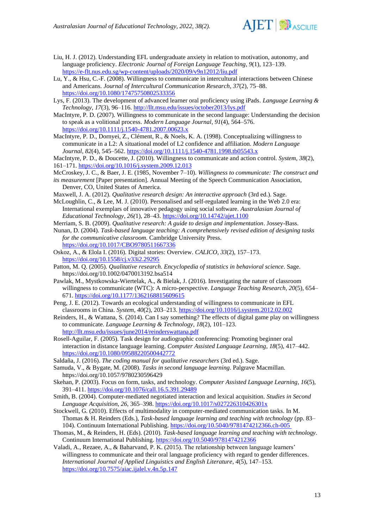

- Liu, H. J. (2012). Understanding EFL undergraduate anxiety in relation to motivation, autonomy, and language proficiency. *Electronic Journal of Foreign Language Teaching*, *9*(1), 123–139. <https://e-flt.nus.edu.sg/wp-content/uploads/2020/09/v9n12012/liu.pdf>
- Lu, Y., & Hsu, C.-F. (2008). Willingness to communicate in intercultural interactions between Chinese and Americans. *Journal of Intercultural Communication Research*, *37*(2), 75–88. <https://doi.org/10.1080/17475750802533356>
- Lys, F. (2013). The development of advanced learner oral proficiency using iPads. *Language Learning & Technology*, *17*(3), 96–116[. http://llt.msu.edu/issues/october2013/lys.pdf](http://llt.msu.edu/issues/october2013/lys.pdf)
- MacIntyre, P. D. (2007). Willingness to communicate in the second language: Understanding the decision to speak as a volitional process. *Modern Language Journal*, *91*(4), 564–576. <https://doi.org/10.1111/j.1540-4781.2007.00623.x>
- MacIntyre, P. D., Dornyei, Z., Clément, R., & Noels, K. A. (1998). Conceptualizing willingness to communicate in a L2: A situational model of L2 confidence and affiliation. *Modern Language Journal*, *82*(4), 545–562.<https://doi.org/10.1111/j.1540-4781.1998.tb05543.x>

MacIntyre, P. D., & Doucette, J. (2010). Willingness to communicate and action control. *System*, *38*(2), 161–171.<https://doi.org/10.1016/j.system.2009.12.013>

McCroskey, J. C., & Baer, J. E. (1985, November 7–10). *Willingness to communicate: The construct and its measurement* [Paper presentation]. Annual Meeting of the Speech Communication Association,

Denver, CO, United States of America.

Maxwell, J. A. (2012). *Qualitative research design: An interactive approach* (3rd ed.). Sage*.* McLoughlin, C., & Lee, M. J. (2010). Personalised and self-regulated learning in the Web 2.0 era:

International exemplars of innovative pedagogy using social software. *Australasian Journal of Educational Technology*, *26(*1), 28–43.<https://doi.org/10.14742/ajet.1100>

Merriam, S. B. (2009). *Qualitative research: A guide to design and implementation*. Jossey-Bass.

- Nunan, D. (2004). *Task-based language teaching: A comprehensively revised edition of designing tasks for the communicative classroom.* Cambridge University Press. <https://doi.org/10.1017/CBO9780511667336>
- Oskoz, A., & Elola I. (2016). Digital stories: Overview. *CALICO*, *33*(2), 157–173. <https://doi.org/10.1558/cj.v33i2.29295>
- Patton, M. Q. (2005). *Qualitative research. Encyclopedia of statistics in behavioral science*. Sage. https://doi.org/10.1002/0470013192.bsa514
- Pawlak, M., Mystkowska-Wiertelak, A., & Bielak, J. (2016). Investigating the nature of classroom willingness to communicate (WTC): A micro-perspective. *Language Teaching Research*, *20*(5), 654– 671. <https://doi.org/10.1177/1362168815609615>
- Peng, J. E. (2012). Towards an ecological understanding of willingness to communicate in EFL classrooms in China. *System*, *40*(2), 203–213. <https://doi.org/10.1016/j.system.2012.02.002>
- Reinders, H., & Wattana, S. (2014). Can I say something? The effects of digital game play on willingness to communicate. *Language Learning & Technology*, *18*(2), 101–123. <http://llt.msu.edu/issues/june2014/reinderswattana.pdf>
- Rosell-Aguilar, F. (2005). Task design for audiographic conferencing: Promoting beginner oral interaction in distance language learning. *Computer Assisted Language Learning*, *18*(5), 417–442. <https://doi.org/10.1080/09588220500442772>

Saldaña, J. (2016). *The coding manual for qualitative researchers* (3rd ed.). Sage.

- Samuda, V., & Bygate, M. (2008). *Tasks in second language learning*. Palgrave Macmillan. https://doi.org/10.1057/9780230596429
- Skehan, P. (2003). Focus on form, tasks, and technology. *Computer Assisted Language Learning*, *16*(5), 391–411.<https://doi.org/10.1076/call.16.5.391.29489>
- Smith, B. (2004). Computer-mediated negotiated interaction and lexical acquisition. *Studies in Second Language Acquisition*, *26*, 365–398.<https://doi.org/10.1017/s027226310426301x>
- Stockwell, G. (2010). Effects of multimodality in computer-mediated communication tasks. In M. Thomas & H. Reinders (Eds.), *Task-based language learning and teaching with technology* (pp. 83– 104). Continuum International Publishing. <https://doi.org/10.5040/9781474212366.ch-005>
- Thomas, M., & Reinders, H. (Eds). (2010). *Task-based language learning and teaching with technology*. Continuum International Publishing.<https://doi.org/10.5040/9781474212366>
- Valadi, A., Rezaee, A., & Baharvand, P. K. (2015). The relationship between language learners' willingness to communicate and their oral language proficiency with regard to gender differences. *International Journal of Applied Linguistics and English Literature*, *4*(5), 147–153. <https://doi.org/10.7575/aiac.ijalel.v.4n.5p.147>